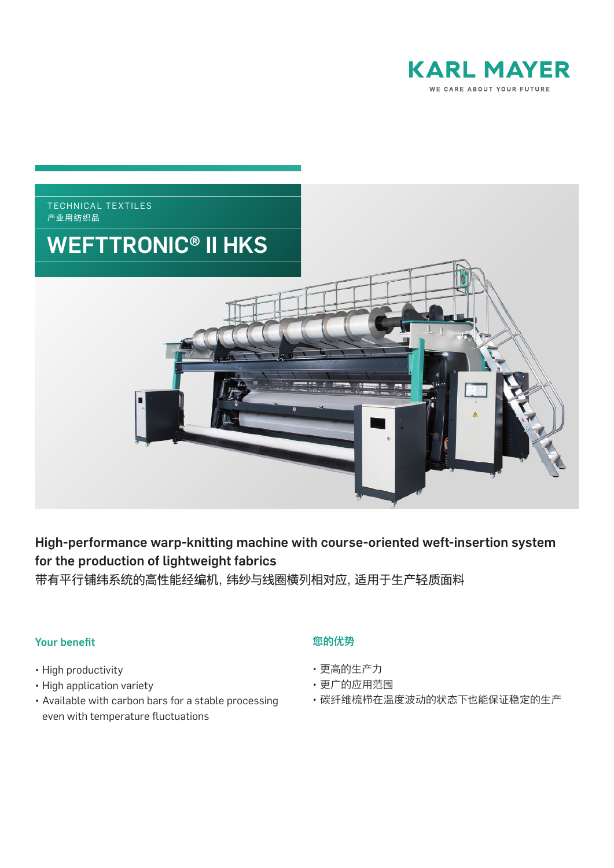



# High-performance warp-knitting machine with course-oriented weft-insertion system for the production of lightweight fabrics

带有平行铺纬系统的高性能经编机,纬纱与线圈横列相对应,适用于生产轻质面料

## Your benefit

- High productivity
- High application variety
- Available with carbon bars for a stable processing even with temperature fluctuations

## 您的优势

- 更高的生产力
- 更广的应用范围
- 碳纤维梳栉在温度波动的状态下也能保证稳定的生产